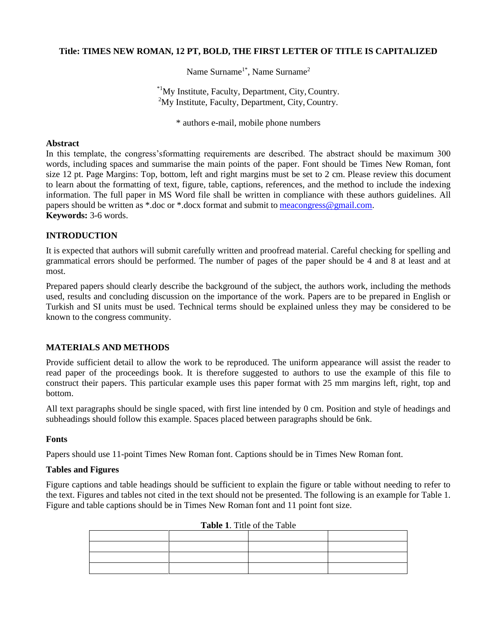# **Title: TIMES NEW ROMAN, 12 PT, BOLD, THE FIRST LETTER OF TITLE IS CAPITALIZED**

Name Surname<sup>1\*</sup>, Name Surname<sup>2</sup>

\*1My Institute, Faculty, Department, City,Country.  $2^2$ My Institute, Faculty, Department, City, Country.

\* authors e-mail, mobile phone numbers

### **Abstract**

In this template, the congress'sformatting requirements are described. The abstract should be maximum 300 words, including spaces and summarise the main points of the paper. Font should be Times New Roman, font size 12 pt. Page Margins: Top, bottom, left and right margins must be set to 2 cm. Please review this document to learn about the formatting of text, figure, table, captions, references, and the method to include the indexing information. The full paper in MS Word file shall be written in compliance with these authors guidelines. All papers should be written as \*.doc or \*.docx format and submit to [meacongress@gmail.com.](mailto:meacongress@gmail.com) **Keywords:** 3-6 words.

# **INTRODUCTION**

It is expected that authors will submit carefully written and proofread material. Careful checking for spelling and grammatical errors should be performed. The number of pages of the paper should be 4 and 8 at least and at most.

Prepared papers should clearly describe the background of the subject, the authors work, including the methods used, results and concluding discussion on the importance of the work. Papers are to be prepared in English or Turkish and SI units must be used. Technical terms should be explained unless they may be considered to be known to the congress community.

# **MATERIALS AND METHODS**

Provide sufficient detail to allow the work to be reproduced. The uniform appearance will assist the reader to read paper of the proceedings book. It is therefore suggested to authors to use the example of this file to construct their papers. This particular example uses this paper format with 25 mm margins left, right, top and bottom.

All text paragraphs should be single spaced, with first line intended by 0 cm. Position and style of headings and subheadings should follow this example. Spaces placed between paragraphs should be 6nk.

# **Fonts**

Papers should use 11-point Times New Roman font. Captions should be in Times New Roman font.

# **Tables and Figures**

Figure captions and table headings should be sufficient to explain the figure or table without needing to refer to the text. Figures and tables not cited in the text should not be presented. The following is an example for Table 1. Figure and table captions should be in Times New Roman font and 11 point font size.

| <b>LADIC 1.</b> THUE OF THE TADIE |  |  |  |
|-----------------------------------|--|--|--|
|                                   |  |  |  |
|                                   |  |  |  |
|                                   |  |  |  |
|                                   |  |  |  |

**Table 1**. Title of the Table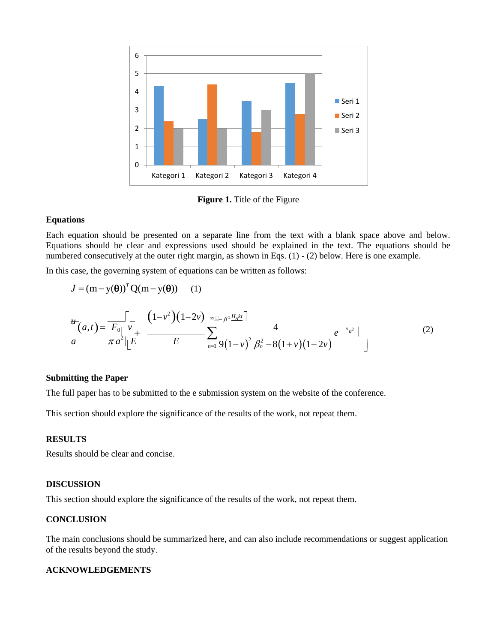

**Figure 1.** Title of the Figure

#### **Equations**

Each equation should be presented on a separate line from the text with a blank space above and below. Equations should be clear and expressions used should be explained in the text. The equations should be numbered consecutively at the outer right margin, as shown in Eqs. (1) - (2) below. Here is one example.

In this case, the governing system of equations can be written as follows:

$$
J = (m - y(\theta))^T Q(m - y(\theta)) \quad (1)
$$
  
\n
$$
\frac{d}{dt}(a,t) = \frac{\int_{\pi_0}^{L} \left[1 - v^2\right] (1 - 2v)}{\pi a^2 \left|E\right|} \sum_{n=1}^{\infty} \frac{1}{9(1 - v)^2} \frac{d}{dt} \frac{1}{\beta_n^2 - 8(1 + v)(1 - 2v)} e^{-\frac{n}{a^2} \left|E\right|} \tag{2}
$$

#### **Submitting the Paper**

The full paper has to be submitted to the e submission system on the website of the conference.

This section should explore the significance of the results of the work, not repeat them.

# **RESULTS**

Results should be clear and concise.

### **DISCUSSION**

This section should explore the significance of the results of the work, not repeat them.

### **CONCLUSION**

The main conclusions should be summarized here, and can also include recommendations or suggest application of the results beyond the study.

#### **ACKNOWLEDGEMENTS**